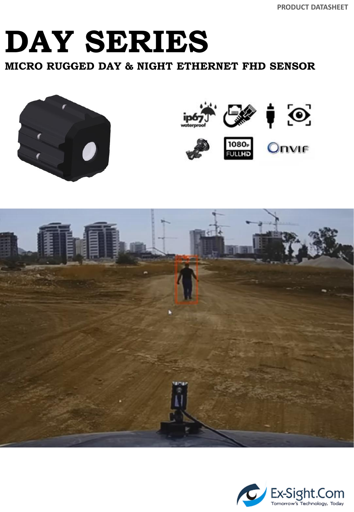**PRODUCT DATASHEET**

### **DAY SERIES**

**MICRO RUGGED DAY & NIGHT ETHERNET FHD SENSOR** 





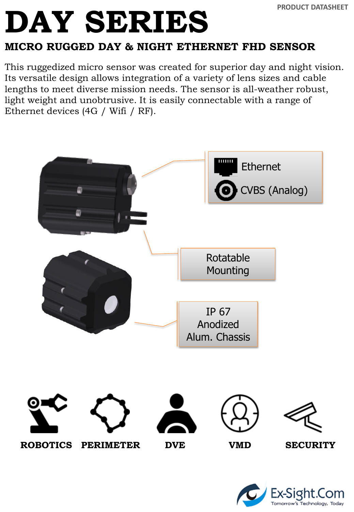### **MICRO RUGGED DAY & NIGHT ETHERNET FHD SENSOR**

This ruggedized micro sensor was created for superior day and night vision. Its versatile design allows integration of a variety of lens sizes and cable lengths to meet diverse mission needs. The sensor is all-weather robust, light weight and unobtrusive. It is easily connectable with a range of Ethernet devices (4G / Wifi / RF).



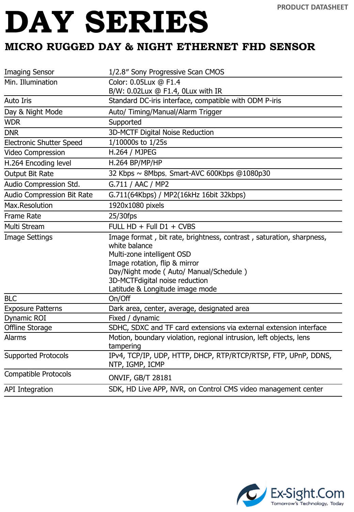#### **MICRO RUGGED DAY & NIGHT ETHERNET FHD SENSOR**

| <b>Imaging Sensor</b>           | 1/2.8" Sony Progressive Scan CMOS                                                     |
|---------------------------------|---------------------------------------------------------------------------------------|
| Min. Illumination               | Color: 0.05Lux @ F1.4                                                                 |
|                                 | B/W: 0.02Lux @ F1.4, 0Lux with IR                                                     |
| <b>Auto Iris</b>                | Standard DC-iris interface, compatible with ODM P-iris                                |
| Day & Night Mode                | Auto/ Timing/Manual/Alarm Trigger                                                     |
| <b>WDR</b>                      | Supported                                                                             |
| <b>DNR</b>                      | 3D-MCTF Digital Noise Reduction                                                       |
| <b>Electronic Shutter Speed</b> | 1/10000s to 1/25s                                                                     |
| Video Compression               | H.264 / MJPEG                                                                         |
| H.264 Encoding level            | H.264 BP/MP/HP                                                                        |
| Output Bit Rate                 | 32 Kbps ~ 8Mbps, Smart-AVC 600Kbps @1080p30                                           |
| Audio Compression Std.          | G.711 / AAC / MP2                                                                     |
| Audio Compression Bit Rate      | G.711(64Kbps) / MP2(16kHz 16bit 32kbps)                                               |
| Max.Resolution                  | 1920x1080 pixels                                                                      |
| <b>Frame Rate</b>               | 25/30fps                                                                              |
| Multi Stream                    | FULL HD + Full D1 + CVBS                                                              |
| <b>Image Settings</b>           | Image format, bit rate, brightness, contrast, saturation, sharpness,<br>white balance |
|                                 | Multi-zone intelligent OSD                                                            |
|                                 | Image rotation, flip & mirror                                                         |
|                                 | Day/Night mode (Auto/Manual/Schedule)                                                 |
|                                 | 3D-MCTFdigital noise reduction                                                        |
|                                 | Latitude & Longitude image mode                                                       |
| <b>BLC</b>                      | On/Off                                                                                |
| <b>Exposure Patterns</b>        |                                                                                       |
|                                 | Dark area, center, average, designated area                                           |
| Dynamic ROI                     | Fixed / dynamic                                                                       |
| Offline Storage                 | SDHC, SDXC and TF card extensions via external extension interface                    |
| <b>Alarms</b>                   | Motion, boundary violation, regional intrusion, left objects, lens<br>tampering       |
| <b>Supported Protocols</b>      | IPv4, TCP/IP, UDP, HTTP, DHCP, RTP/RTCP/RTSP, FTP, UPnP, DDNS,<br>NTP, IGMP, ICMP     |
| <b>Compatible Protocols</b>     | <b>ONVIF, GB/T 28181</b>                                                              |

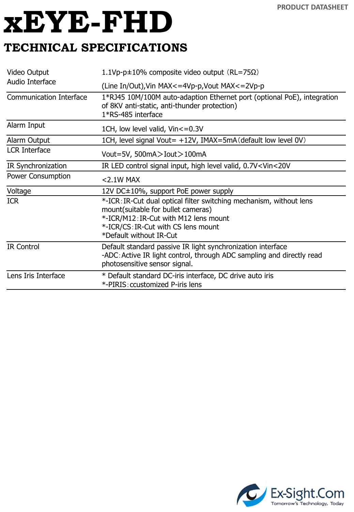# **xEYE-FHD**

### **TECHNICAL SPECIFICATIONS**

| Video Output                   | 1.1Vp-p $\pm$ 10% composite video output (RL=75 $\Omega$ )                                                                                                                                                           |
|--------------------------------|----------------------------------------------------------------------------------------------------------------------------------------------------------------------------------------------------------------------|
| Audio Interface                | (Line In/Out), Vin MAX <= 4Vp-p, Vout MAX <= 2Vp-p                                                                                                                                                                   |
| <b>Communication Interface</b> | 1*RJ45 10M/100M auto-adaption Ethernet port (optional PoE), integration<br>of 8KV anti-static, anti-thunder protection)<br>1*RS-485 interface                                                                        |
| Alarm Input                    | 1CH, low level valid, Vin<=0.3V                                                                                                                                                                                      |
| Alarm Output                   | 1CH, level signal Vout= +12V, IMAX=5mA (default low level 0V)                                                                                                                                                        |
| <b>LCR Interface</b>           | Vout=5V, 500mA>Iout>100mA                                                                                                                                                                                            |
| IR Synchronization             | IR LED control signal input, high level valid, 0.7V <vin<20v< td=""></vin<20v<>                                                                                                                                      |
| <b>Power Consumption</b>       | $<$ 2.1W MAX                                                                                                                                                                                                         |
| Voltage                        | 12V DC±10%, support PoE power supply                                                                                                                                                                                 |
| <b>ICR</b>                     | *-ICR: IR-Cut dual optical filter switching mechanism, without lens<br>mount(suitable for bullet cameras)<br>*-ICR/M12: IR-Cut with M12 lens mount<br>*-ICR/CS: IR-Cut with CS lens mount<br>*Default without IR-Cut |
| <b>IR Control</b>              | Default standard passive IR light synchronization interface<br>-ADC: Active IR light control, through ADC sampling and directly read<br>photosensitive sensor signal.                                                |
| Lens Iris Interface            | * Default standard DC-iris interface, DC drive auto iris<br>*-PIRIS: ccustomized P-iris lens                                                                                                                         |

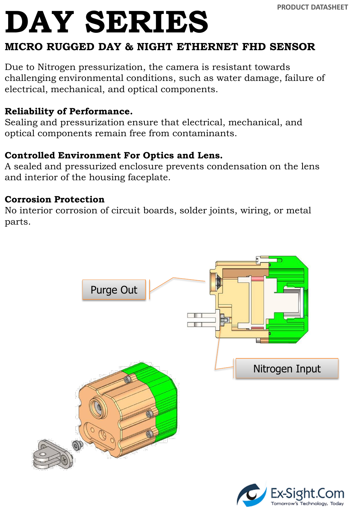#### **MICRO RUGGED DAY & NIGHT ETHERNET FHD SENSOR**

Due to Nitrogen pressurization, the camera is resistant towards challenging environmental conditions, such as water damage, failure of electrical, mechanical, and optical components.

#### **Reliability of Performance.**

Sealing and pressurization ensure that electrical, mechanical, and optical components remain free from contaminants.

#### **Controlled Environment For Optics and Lens.**

A sealed and pressurized enclosure prevents condensation on the lens and interior of the housing faceplate.

#### **Corrosion Protection**

No interior corrosion of circuit boards, solder joints, wiring, or metal parts.